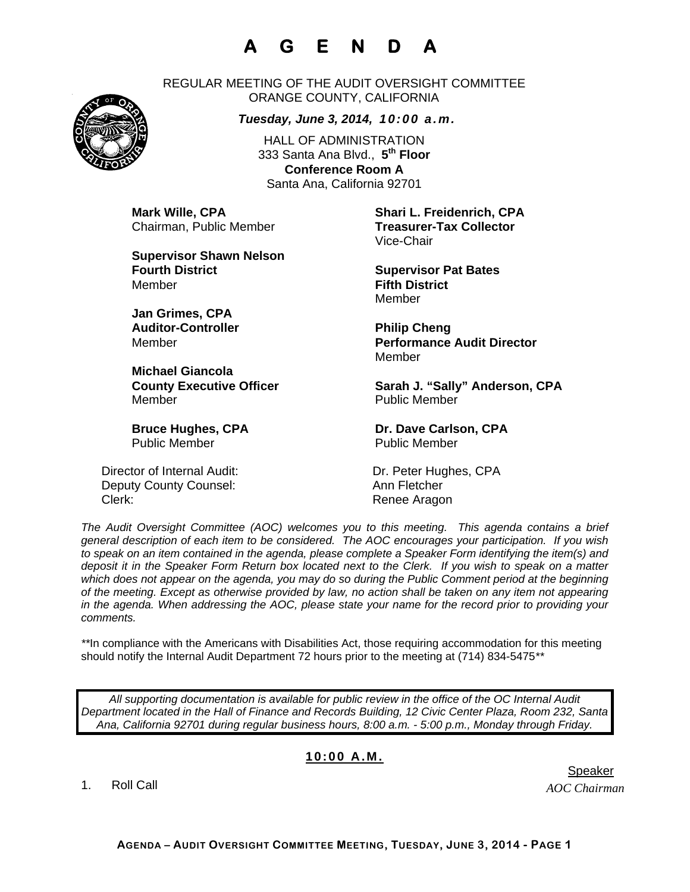# **A G E N D A**



REGULAR MEETING OF THE AUDIT OVERSIGHT COMMITTEE ORANGE COUNTY, CALIFORNIA

#### *Tuesday, June 3, 2014, 10:00 a.m.*

HALL OF ADMINISTRATION 333 Santa Ana Blvd., **5th Floor Conference Room A**  Santa Ana, California 92701

Chairman, Public Member **Treasurer-Tax Collector** 

**Supervisor Shawn Nelson Fourth District Contract Supervisor Pat Bates** Member **Fifth District** 

**Jan Grimes, CPA**  Auditor-Controller **Philip Cheng** 

**Michael Giancola**  Member **Number** Public Member

Public Member **Public Member** 

Director of Internal Audit: Dr. Peter Hughes, CPA Deputy County Counsel: Ann Fletcher Clerk: Clerk: Clerk: Renee Aragon

**Mark Wille, CPA Shari L. Freidenrich, CPA** Vice-Chair

Member

Member **Performance Audit Director**  Member

County Executive Officer **Sarah J. "Sally" Anderson, CPA** 

**Bruce Hughes, CPA** Dr. Dave Carlson, CPA

*The Audit Oversight Committee (AOC) welcomes you to this meeting. This agenda contains a brief general description of each item to be considered. The AOC encourages your participation. If you wish to speak on an item contained in the agenda, please complete a Speaker Form identifying the item(s) and deposit it in the Speaker Form Return box located next to the Clerk. If you wish to speak on a matter which does not appear on the agenda, you may do so during the Public Comment period at the beginning of the meeting. Except as otherwise provided by law, no action shall be taken on any item not appearing in the agenda. When addressing the AOC, please state your name for the record prior to providing your comments.* 

*\*\**In compliance with the Americans with Disabilities Act, those requiring accommodation for this meeting should notify the Internal Audit Department 72 hours prior to the meeting at (714) 834-5475*\*\** 

*All supporting documentation is available for public review in the office of the OC Internal Audit Department located in the Hall of Finance and Records Building, 12 Civic Center Plaza, Room 232, Santa Ana, California 92701 during regular business hours, 8:00 a.m. - 5:00 p.m., Monday through Friday.* 

### **10:00 A.M.**

1. Roll Call

*AOC Chairman*  er in de staat de bestiet in de staat de bestiet in de bestiet in de bestiet in de bestiet in de staat de staa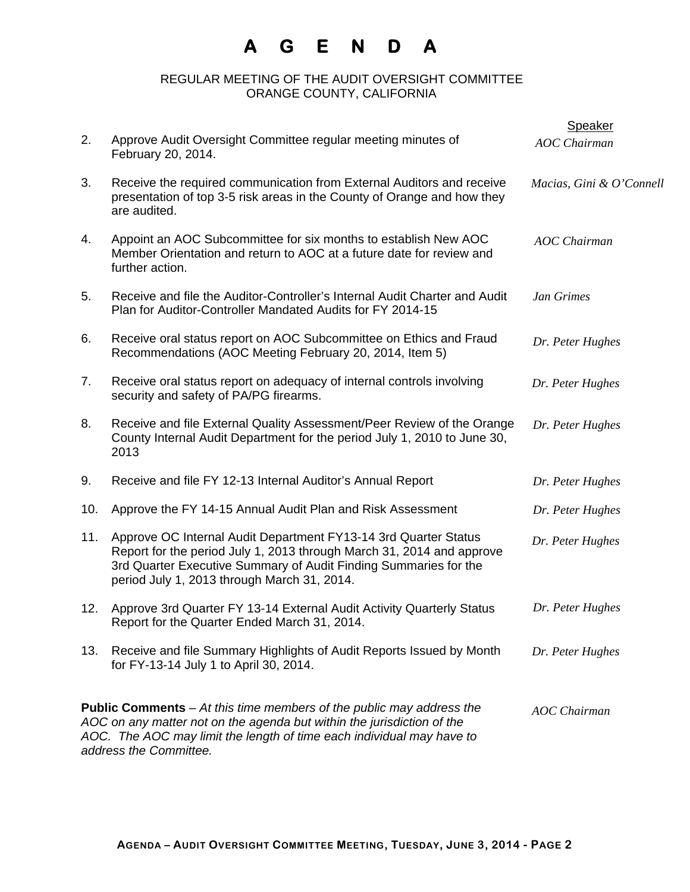## **A G E N D A**

### REGULAR MEETING OF THE AUDIT OVERSIGHT COMMITTEE ORANGE COUNTY, CALIFORNIA

|     |                                                                                                                                                                                                                                                                                   | Speaker                  |  |
|-----|-----------------------------------------------------------------------------------------------------------------------------------------------------------------------------------------------------------------------------------------------------------------------------------|--------------------------|--|
| 2.  | Approve Audit Oversight Committee regular meeting minutes of<br>February 20, 2014.                                                                                                                                                                                                | <b>AOC</b> Chairman      |  |
| 3.  | Receive the required communication from External Auditors and receive<br>presentation of top 3-5 risk areas in the County of Orange and how they<br>are audited.                                                                                                                  | Macias, Gini & O'Connell |  |
| 4.  | Appoint an AOC Subcommittee for six months to establish New AOC<br>Member Orientation and return to AOC at a future date for review and<br>further action.                                                                                                                        | <b>AOC</b> Chairman      |  |
| 5.  | Receive and file the Auditor-Controller's Internal Audit Charter and Audit<br>Plan for Auditor-Controller Mandated Audits for FY 2014-15                                                                                                                                          | Jan Grimes               |  |
| 6.  | Receive oral status report on AOC Subcommittee on Ethics and Fraud<br>Recommendations (AOC Meeting February 20, 2014, Item 5)                                                                                                                                                     | Dr. Peter Hughes         |  |
| 7.  | Receive oral status report on adequacy of internal controls involving<br>security and safety of PA/PG firearms.                                                                                                                                                                   | Dr. Peter Hughes         |  |
| 8.  | Receive and file External Quality Assessment/Peer Review of the Orange<br>County Internal Audit Department for the period July 1, 2010 to June 30,<br>2013                                                                                                                        | Dr. Peter Hughes         |  |
| 9.  | Receive and file FY 12-13 Internal Auditor's Annual Report                                                                                                                                                                                                                        | Dr. Peter Hughes         |  |
| 10. | Approve the FY 14-15 Annual Audit Plan and Risk Assessment                                                                                                                                                                                                                        | Dr. Peter Hughes         |  |
| 11. | Approve OC Internal Audit Department FY13-14 3rd Quarter Status<br>Report for the period July 1, 2013 through March 31, 2014 and approve<br>3rd Quarter Executive Summary of Audit Finding Summaries for the<br>period July 1, 2013 through March 31, 2014.                       | Dr. Peter Hughes         |  |
| 12. | Approve 3rd Quarter FY 13-14 External Audit Activity Quarterly Status<br>Report for the Quarter Ended March 31, 2014.                                                                                                                                                             | Dr. Peter Hughes         |  |
| 13. | Receive and file Summary Highlights of Audit Reports Issued by Month<br>for FY-13-14 July 1 to April 30, 2014.                                                                                                                                                                    | Dr. Peter Hughes         |  |
|     | <b>Public Comments</b> $-$ At this time members of the public may address the<br><b>AOC</b> Chairman<br>AOC on any matter not on the agenda but within the jurisdiction of the<br>AOC. The AOC may limit the length of time each individual may have to<br>address the Committee. |                          |  |